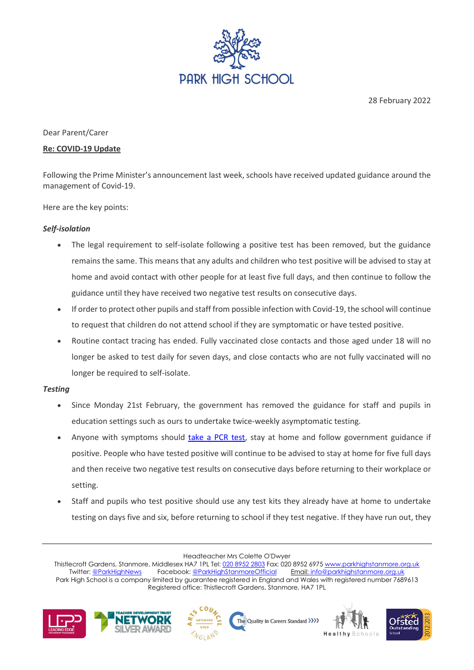

28 February 2022

## Dear Parent/Carer

### **Re: COVID-19 Update**

Following the Prime Minister's announcement last week, schools have received updated guidance around the management of Covid-19.

Here are the key points:

## *Self-isolation*

- The legal requirement to self-isolate following a positive test has been removed, but the guidance remains the same. This means that any adults and children who test positive will be advised to stay at home and avoid contact with other people for at least five full days, and then continue to follow the guidance until they have received two negative test results on consecutive days.
- If order to protect other pupils and staff from possible infection with Covid-19, the school will continue to request that children do not attend school if they are symptomatic or have tested positive.
- Routine contact tracing has ended. Fully vaccinated close contacts and those aged under 18 will no longer be asked to test daily for seven days, and close contacts who are not fully vaccinated will no longer be required to self-isolate.

## *Testing*

- Since Monday 21st February, the government has removed the guidance for staff and pupils in education settings such as ours to undertake twice-weekly asymptomatic testing.
- Anyone with symptoms should [take a PCR test,](https://www.gov.uk/get-coronavirus-test) stay at home and follow government guidance if positive. People who have tested positive will continue to be advised to stay at home for five full days and then receive two negative test results on consecutive days before returning to their workplace or setting.
- Staff and pupils who test positive should use any test kits they already have at home to undertake testing on days five and six, before returning to school if they test negative. If they have run out, they

Headteacher Mrs Colette O'Dwyer

Thistlecroft Gardens, Stanmore, Middlesex HA7 1PL Tel[: 020 8952 2803](file://phs-apps-06/Digital$/Templates/020%208952%202803) Fax: 020 8952 6975 [www.parkhighstanmore.org.uk](file://phs-apps-06/Digital$/Templates/www.parkhighstanmore.org.uk)<br>Twitter: @ParkHighNews Facebook: @ParkHighStanmoreOfficial Email: info@parkhighstanmore.org.uk Facebook: @ParkHighStanmoreOfficial Park High School is a company limited by guarantee registered in England and Wales with registered number 7689613 Registered office: Thistlecroft Gardens, Stanmore, HA7 1PL